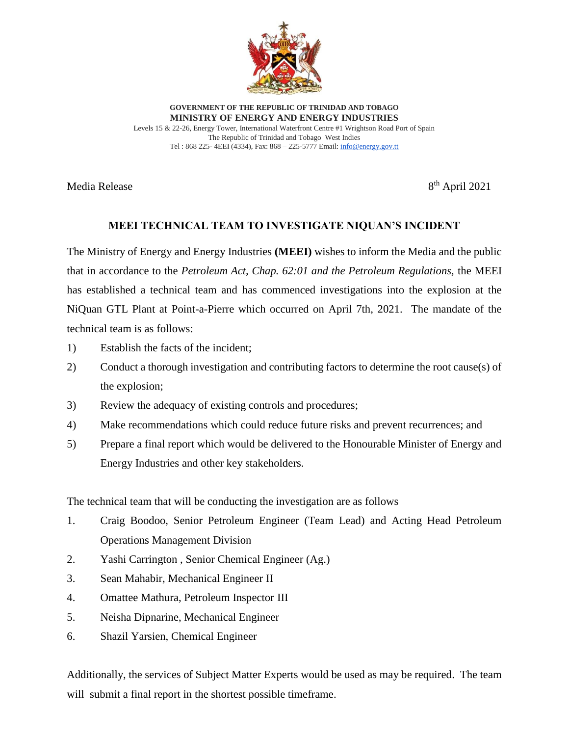

**GOVERNMENT OF THE REPUBLIC OF TRINIDAD AND TOBAGO MINISTRY OF ENERGY AND ENERGY INDUSTRIES** Levels 15 & 22-26, Energy Tower, International Waterfront Centre #1 Wrightson Road Port of Spain The Republic of Trinidad and Tobago West Indies Tel : 868 225- 4EEI (4334), Fax: 868 – 225-5777 Email[: info@energy.gov.tt](mailto:info@energy.gov.tt)

Media Release

 $8<sup>th</sup>$  April 2021

## **MEEI TECHNICAL TEAM TO INVESTIGATE NIQUAN'S INCIDENT**

The Ministry of Energy and Energy Industries **(MEEI)** wishes to inform the Media and the public that in accordance to the *Petroleum Act, Chap. 62:01 and the Petroleum Regulations,* the MEEI has established a technical team and has commenced investigations into the explosion at the NiQuan GTL Plant at Point-a-Pierre which occurred on April 7th, 2021. The mandate of the technical team is as follows:

- 1) Establish the facts of the incident;
- 2) Conduct a thorough investigation and contributing factors to determine the root cause(s) of the explosion;
- 3) Review the adequacy of existing controls and procedures;
- 4) Make recommendations which could reduce future risks and prevent recurrences; and
- 5) Prepare a final report which would be delivered to the Honourable Minister of Energy and Energy Industries and other key stakeholders.

The technical team that will be conducting the investigation are as follows

- 1. Craig Boodoo, Senior Petroleum Engineer (Team Lead) and Acting Head Petroleum Operations Management Division
- 2. Yashi Carrington , Senior Chemical Engineer (Ag.)
- 3. Sean Mahabir, Mechanical Engineer II
- 4. Omattee Mathura, Petroleum Inspector III
- 5. Neisha Dipnarine, Mechanical Engineer
- 6. Shazil Yarsien, Chemical Engineer

Additionally, the services of Subject Matter Experts would be used as may be required. The team will submit a final report in the shortest possible time frame.